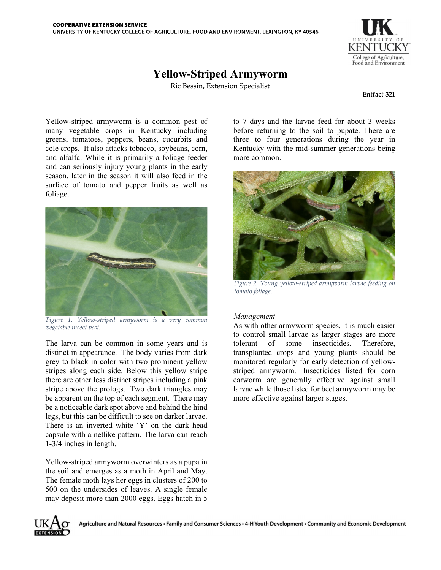

## **Yellow-Striped Armyworm**

Ric Bessin, Extension Specialist

**Entfact-321** 

Yellow-striped armyworm is a common pest of many vegetable crops in Kentucky including greens, tomatoes, peppers, beans, cucurbits and cole crops. It also attacks tobacco, soybeans, corn, and alfalfa. While it is primarily a foliage feeder and can seriously injury young plants in the early season, later in the season it will also feed in the surface of tomato and pepper fruits as well as foliage.



*Figure 1. Yellow-striped armyworm is a very common vegetable insect pest.*

The larva can be common in some years and is distinct in appearance. The body varies from dark grey to black in color with two prominent yellow stripes along each side. Below this yellow stripe there are other less distinct stripes including a pink stripe above the prologs. Two dark triangles may be apparent on the top of each segment. There may be a noticeable dark spot above and behind the hind legs, but this can be difficult to see on darker larvae. There is an inverted white 'Y' on the dark head capsule with a netlike pattern. The larva can reach 1-3/4 inches in length.

Yellow-striped armyworm overwinters as a pupa in the soil and emerges as a moth in April and May. The female moth lays her eggs in clusters of 200 to 500 on the undersides of leaves. A single female may deposit more than 2000 eggs. Eggs hatch in 5

to 7 days and the larvae feed for about 3 weeks before returning to the soil to pupate. There are three to four generations during the year in Kentucky with the mid-summer generations being more common.



*Figure 2. Young yellow-striped armyworm larvae feeding on tomato foliage.*

## *Management*

As with other armyworm species, it is much easier to control small larvae as larger stages are more tolerant of some insecticides. Therefore, transplanted crops and young plants should be monitored regularly for early detection of yellowstriped armyworm. Insecticides listed for corn earworm are generally effective against small larvae while those listed for beet armyworm may be more effective against larger stages.